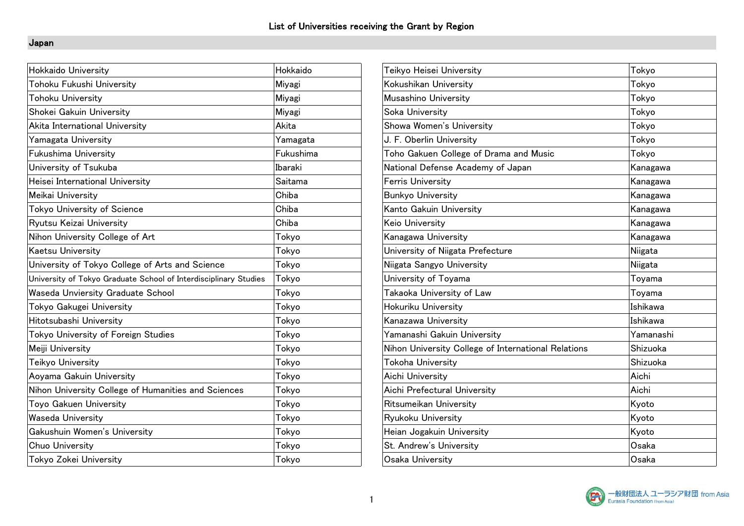### Japan

| Hokkaido University                                              | Hokkaido  | Teikyo Heisei University                            | Tokyo     |
|------------------------------------------------------------------|-----------|-----------------------------------------------------|-----------|
| Tohoku Fukushi University                                        | Miyagi    | Kokushikan University                               | Tokyo     |
| <b>Tohoku University</b>                                         | Miyagi    | Musashino University                                | Tokyo     |
| Shokei Gakuin University                                         | Miyagi    | Soka University                                     | Tokyo     |
| Akita International University                                   | Akita     | Showa Women's University                            | Tokyo     |
| Yamagata University                                              | Yamagata  | J. F. Oberlin University                            | Tokyo     |
| Fukushima University                                             | Fukushima | Toho Gakuen College of Drama and Music              | Tokyo     |
| University of Tsukuba                                            | Ibaraki   | National Defense Academy of Japan                   | Kanagawa  |
| Heisei International University                                  | Saitama   | <b>Ferris University</b>                            | Kanagawa  |
| Meikai University                                                | Chiba     | <b>Bunkyo University</b>                            | Kanagawa  |
| Tokyo University of Science                                      | Chiba     | Kanto Gakuin University                             | Kanagawa  |
| Ryutsu Keizai University                                         | Chiba     | Keio University                                     | Kanagawa  |
| Nihon University College of Art                                  | Tokyo     | Kanagawa University                                 | Kanagawa  |
| <b>Kaetsu University</b>                                         | Tokyo     | University of Niigata Prefecture                    | Niigata   |
| University of Tokyo College of Arts and Science                  | Tokyo     | Niigata Sangyo University                           | Niigata   |
| University of Tokyo Graduate School of Interdisciplinary Studies | Tokyo     | University of Toyama                                | Toyama    |
| Waseda Unviersity Graduate School                                | Tokyo     | Takaoka University of Law                           | Toyama    |
| Tokyo Gakugei University                                         | Tokyo     | Hokuriku University                                 | Ishikawa  |
| Hitotsubashi University                                          | Tokyo     | Kanazawa University                                 | Ishikawa  |
| Tokyo University of Foreign Studies                              | Tokyo     | Yamanashi Gakuin University                         | Yamanashi |
| Meiji University                                                 | Tokyo     | Nihon University College of International Relations | Shizuoka  |
| Teikyo University                                                | Tokyo     | Tokoha University                                   | Shizuoka  |
| Aoyama Gakuin University                                         | Tokyo     | Aichi University                                    | Aichi     |
| Nihon University College of Humanities and Sciences              | Tokyo     | Aichi Prefectural University                        | Aichi     |
| Toyo Gakuen University                                           | Tokyo     | Ritsumeikan University                              | Kyoto     |
| <b>Waseda University</b>                                         | Tokyo     | Ryukoku University                                  | Kyoto     |
| Gakushuin Women's University                                     | Tokyo     | Heian Jogakuin University                           | Kyoto     |
| Chuo University                                                  | Tokyo     | St. Andrew's University                             | Osaka     |
| Tokyo Zokei University                                           | Tokyo     | Osaka University                                    | Osaka     |
|                                                                  |           |                                                     |           |

| Teikyo Heisei University                            | Tokyo     |
|-----------------------------------------------------|-----------|
| Kokushikan University                               | Tokyo     |
| Musashino University                                | Tokyo     |
| Soka University                                     | Tokyo     |
| Showa Women's University                            | Tokyo     |
| J. F. Oberlin University                            | Tokyo     |
| Toho Gakuen College of Drama and Music              | Tokyo     |
| National Defense Academy of Japan                   | Kanagawa  |
| <b>Ferris University</b>                            | Kanagawa  |
| <b>Bunkyo University</b>                            | Kanagawa  |
| Kanto Gakuin University                             | Kanagawa  |
| Keio University                                     | Kanagawa  |
| Kanagawa University                                 | Kanagawa  |
| University of Niigata Prefecture                    | Niigata   |
| Niigata Sangyo University                           | Niigata   |
| University of Toyama                                | Toyama    |
| Takaoka University of Law                           | Toyama    |
| Hokuriku University                                 | Ishikawa  |
| Kanazawa University                                 | Ishikawa  |
| Yamanashi Gakuin University                         | Yamanashi |
| Nihon University College of International Relations | Shizuoka  |
| Tokoha University                                   | Shizuoka  |
| Aichi University                                    | Aichi     |
| Aichi Prefectural University                        | Aichi     |
| Ritsumeikan University                              | Kyoto     |
| Ryukoku University                                  | Kyoto     |
| Heian Jogakuin University                           | Kyoto     |
| St. Andrew's University                             | Osaka     |
| Osaka University                                    | Osaka     |
|                                                     |           |

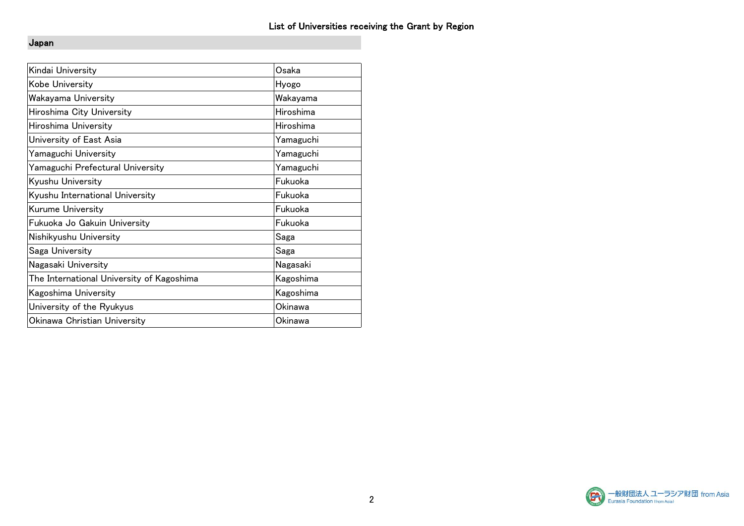### Japan

| Kindai University                         | Osaka     |
|-------------------------------------------|-----------|
| Kobe University                           | Hyogo     |
| Wakayama University                       | Wakayama  |
| Hiroshima City University                 | Hiroshima |
| Hiroshima University                      | Hiroshima |
| University of East Asia                   | Yamaguchi |
| Yamaguchi University                      | Yamaguchi |
| Yamaguchi Prefectural University          | Yamaguchi |
| Kyushu University                         | Fukuoka   |
| Kyushu International University           | Fukuoka   |
| Kurume University                         | Fukuoka   |
| Fukuoka Jo Gakuin University              | Fukuoka   |
| Nishikyushu University                    | Saga      |
| Saga University                           | Saga      |
| Nagasaki University                       | Nagasaki  |
| The International University of Kagoshima | Kagoshima |
| Kagoshima University                      | Kagoshima |
| University of the Ryukyus                 | Okinawa   |
| Okinawa Christian University              | Okinawa   |

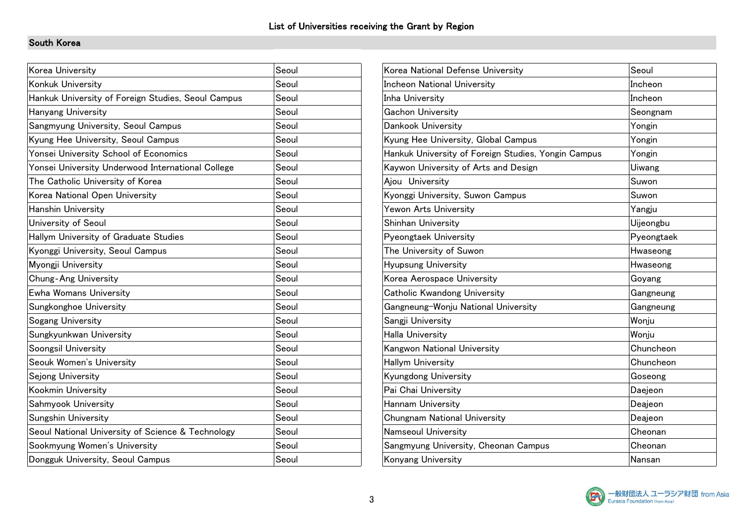### South Korea

| Korea University                                   | Seoul | Korea National Defense University                   | Seoul      |
|----------------------------------------------------|-------|-----------------------------------------------------|------------|
| Konkuk University                                  | Seoul | <b>Incheon National University</b>                  | Incheon    |
| Hankuk University of Foreign Studies, Seoul Campus | Seoul | Inha University                                     | Incheon    |
| <b>Hanyang University</b>                          | Seoul | Gachon University                                   | Seongnam   |
| Sangmyung University, Seoul Campus                 | Seoul | Dankook University                                  | Yongin     |
| Kyung Hee University, Seoul Campus                 | Seoul | Kyung Hee University, Global Campus                 | Yongin     |
| Yonsei University School of Economics              | Seoul | Hankuk University of Foreign Studies, Yongin Campus | Yongin     |
| Yonsei University Underwood International College  | Seoul | Kaywon University of Arts and Design                | Uiwang     |
| The Catholic University of Korea                   | Seoul | Ajou University                                     | Suwon      |
| Korea National Open University                     | Seoul | Kyonggi University, Suwon Campus                    | Suwon      |
| <b>Hanshin University</b>                          | Seoul | Yewon Arts University                               | Yangju     |
| University of Seoul                                | Seoul | Shinhan University                                  | Uijeongbu  |
| Hallym University of Graduate Studies              | Seoul | Pyeongtaek University                               | Pyeongtaek |
| Kyonggi University, Seoul Campus                   | Seoul | The University of Suwon                             | Hwaseong   |
| Myongji University                                 | Seoul | Hyupsung University                                 | Hwaseong   |
| <b>Chung-Ang University</b>                        | Seoul | Korea Aerospace University                          | Goyang     |
| <b>Ewha Womans University</b>                      | Seoul | Catholic Kwandong University                        | Gangneung  |
| Sungkonghoe University                             | Seoul | Gangneung-Wonju National University                 | Gangneung  |
| Sogang University                                  | Seoul | Sangji University                                   | Wonju      |
| Sungkyunkwan University                            | Seoul | <b>Halla University</b>                             | Wonju      |
| Soongsil University                                | Seoul | Kangwon National University                         | Chuncheon  |
| Seouk Women's University                           | Seoul | <b>Hallym University</b>                            | Chuncheon  |
| Sejong University                                  | Seoul | Kyungdong University                                | Goseong    |
| Kookmin University                                 | Seoul | Pai Chai University                                 | Daejeon    |
| Sahmyook University                                | Seoul | Hannam University                                   | Deajeon    |
| Sungshin University                                | Seoul | Chungnam National University                        | Deajeon    |
| Seoul National University of Science & Technology  | Seoul | Namseoul University                                 | Cheonan    |
| Sookmyung Women's University                       | Seoul | Sangmyung University, Cheonan Campus                | Cheonan    |
| Dongguk University, Seoul Campus                   | Seoul | Konyang University                                  | Nansan     |
|                                                    |       |                                                     |            |

| Korea National Defense University                   | Seoul      |
|-----------------------------------------------------|------------|
| Incheon National University                         | Incheon    |
| Inha University                                     | Incheon    |
| <b>Gachon University</b>                            | Seongnam   |
| Dankook University                                  | Yongin     |
| Kyung Hee University, Global Campus                 | Yongin     |
| Hankuk University of Foreign Studies, Yongin Campus | Yongin     |
| Kaywon University of Arts and Design                | Uiwang     |
| Ajou University                                     | Suwon      |
| Kyonggi University, Suwon Campus                    | Suwon      |
| Yewon Arts University                               | Yangju     |
| Shinhan University                                  | Uijeongbu  |
| Pyeongtaek University                               | Pyeongtaek |
| The University of Suwon                             | Hwaseong   |
| Hyupsung University                                 | Hwaseong   |
| Korea Aerospace University                          | Goyang     |
| Catholic Kwandong University                        | Gangneung  |
| Gangneung-Wonju National University                 | Gangneung  |
| Sangji University                                   | Wonju      |
| <b>Halla University</b>                             | Wonju      |
| Kangwon National University                         | Chuncheon  |
| Hallym University                                   | Chuncheon  |
| Kyungdong University                                | Goseong    |
| Pai Chai University                                 | Daejeon    |
| Hannam University                                   | Deajeon    |
| Chungnam National University                        | Deajeon    |
| Namseoul University                                 | Cheonan    |
| Sangmyung University, Cheonan Campus                | Cheonan    |
| Konyang University                                  | Nansan     |
|                                                     |            |

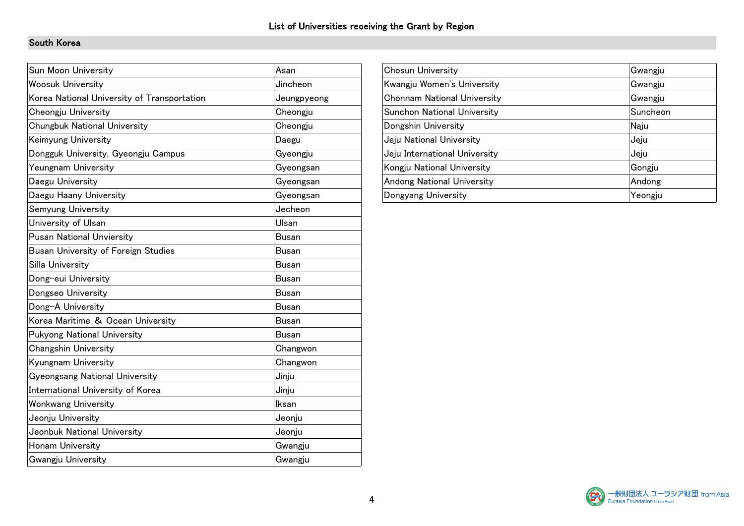### South Korea

| Asan         | Chosun University                  | Gwangju  |
|--------------|------------------------------------|----------|
| Jincheon     | Kwangju Women's University         | Gwangju  |
| Jeungpyeong  | <b>Chonnam National University</b> | Gwangju  |
| Cheongju     | Sunchon National University        | Suncheon |
| Cheongju     | Dongshin University                | Naju     |
| Daegu        | Jeju National University           | Jeju     |
| Gyeongju     | Jeju International University      | Jeju     |
| Gyeongsan    | Kongju National University         | Gongju   |
| Gyeongsan    | Andong National University         | Andong   |
| Gyeongsan    | Dongyang University                | Yeongju  |
| Jecheon      |                                    |          |
| Ulsan        |                                    |          |
| <b>Busan</b> |                                    |          |
| <b>Busan</b> |                                    |          |
| <b>Busan</b> |                                    |          |
| <b>Busan</b> |                                    |          |
| <b>Busan</b> |                                    |          |
| <b>Busan</b> |                                    |          |
| <b>Busan</b> |                                    |          |
| <b>Busan</b> |                                    |          |
| Changwon     |                                    |          |
| Changwon     |                                    |          |
| Jinju        |                                    |          |
| Jinju        |                                    |          |
| Iksan        |                                    |          |
| Jeonju       |                                    |          |
| Jeonju       |                                    |          |
| Gwangju      |                                    |          |
| Gwangju      |                                    |          |
|              |                                    |          |

| <b>Chosun University</b>           | Gwangju  |
|------------------------------------|----------|
| Kwangju Women's University         | Gwangju  |
| <b>Chonnam National University</b> | Gwangju  |
| <b>Sunchon National University</b> | Suncheon |
| Dongshin University                | Naju     |
| Jeju National University           | Jeju     |
| Jeju International University      | Jeju     |
| Kongju National University         | Gongju   |
| <b>Andong National University</b>  | Andong   |
| Dongyang University                | Yeongju  |

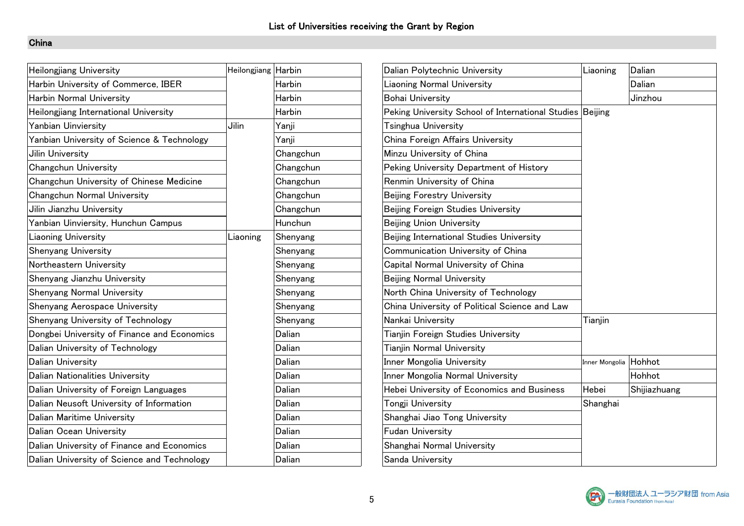| <b>Heilongjiang University</b>              | Heilongjiang Harbin |           | Dalian Polytechnic University                             | Liaoning              | Dalian       |
|---------------------------------------------|---------------------|-----------|-----------------------------------------------------------|-----------------------|--------------|
| Harbin University of Commerce, IBER         |                     | Harbin    | <b>Liaoning Normal University</b>                         |                       | Dalian       |
| Harbin Normal University                    |                     | Harbin    | <b>Bohai University</b>                                   |                       | Jinzhou      |
| Heilongjiang International University       |                     | Harbin    | Peking University School of International Studies Beijing |                       |              |
| Yanbian Uinviersity                         | Jilin               | Yanji     | Tsinghua University                                       |                       |              |
| Yanbian University of Science & Technology  |                     | Yanji     | China Foreign Affairs University                          |                       |              |
| Jilin University                            |                     | Changchun | Minzu University of China                                 |                       |              |
| Changchun University                        |                     | Changchun | Peking University Department of History                   |                       |              |
| Changchun University of Chinese Medicine    |                     | Changchun | Renmin University of China                                |                       |              |
| Changchun Normal University                 |                     | Changchun | <b>Beijing Forestry University</b>                        |                       |              |
| Jilin Jianzhu University                    |                     | Changchun | Beijing Foreign Studies University                        |                       |              |
| Yanbian Uinviersity, Hunchun Campus         |                     | Hunchun   | Beijing Union University                                  |                       |              |
| <b>Liaoning University</b>                  | Liaoning            | Shenyang  | Beijing International Studies University                  |                       |              |
| Shenyang University                         |                     | Shenyang  | Communication University of China                         |                       |              |
| Northeastern University                     |                     | Shenyang  | Capital Normal University of China                        |                       |              |
| Shenyang Jianzhu University                 |                     | Shenyang  | <b>Beijing Normal University</b>                          |                       |              |
| Shenyang Normal University                  |                     | Shenyang  | North China University of Technology                      |                       |              |
| Shenyang Aerospace University               |                     | Shenyang  | China University of Political Science and Law             |                       |              |
| Shenyang University of Technology           |                     | Shenyang  | Nankai University                                         | Tianjin               |              |
| Dongbei University of Finance and Economics |                     | Dalian    | Tianjin Foreign Studies University                        |                       |              |
| Dalian University of Technology             |                     | Dalian    | <b>Tianjin Normal University</b>                          |                       |              |
| <b>Dalian University</b>                    |                     | Dalian    | Inner Mongolia University                                 | Inner Mongolia Hohhot |              |
| Dalian Nationalities University             |                     | Dalian    | Inner Mongolia Normal University                          |                       | Hohhot       |
| Dalian University of Foreign Languages      |                     | Dalian    | Hebei University of Economics and Business                | Hebei                 | Shijiazhuang |
| Dalian Neusoft University of Information    |                     | Dalian    | Tongji University                                         | Shanghai              |              |
| Dalian Maritime University                  |                     | Dalian    | Shanghai Jiao Tong University                             |                       |              |
| Dalian Ocean University                     |                     | Dalian    | <b>Fudan University</b>                                   |                       |              |
| Dalian University of Finance and Economics  |                     | Dalian    | Shanghai Normal University                                |                       |              |
| Dalian University of Science and Technology |                     | Dalian    | Sanda University                                          |                       |              |

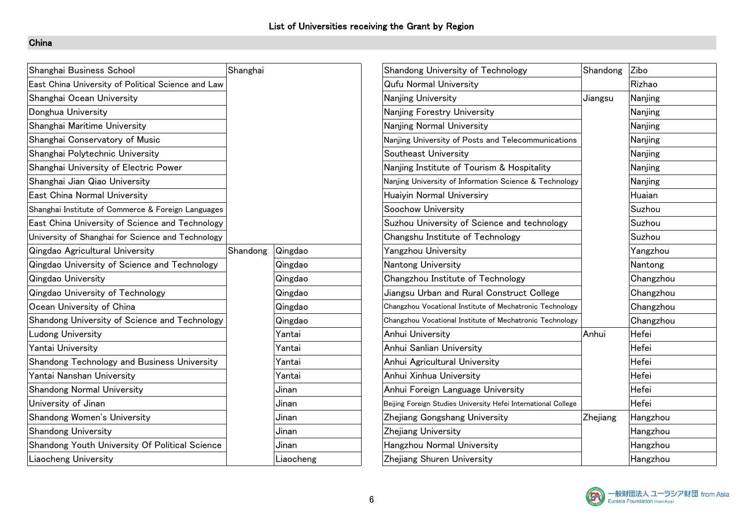| Shanghai Business School                           | Shanghai |           | Shandong University of Technology                              | Shandong | Zibo      |
|----------------------------------------------------|----------|-----------|----------------------------------------------------------------|----------|-----------|
| East China University of Political Science and Law |          |           | <b>Qufu Normal University</b>                                  |          | Rizhao    |
| Shanghai Ocean University                          |          |           | Nanjing University                                             | Jiangsu  | Nanjing   |
| Donghua University                                 |          |           | Nanjing Forestry University                                    |          | Nanjing   |
| Shanghai Maritime University                       |          |           | Nanjing Normal University                                      |          | Nanjing   |
| Shanghai Conservatory of Music                     |          |           | Nanjing University of Posts and Telecommunications             |          | Nanjing   |
| Shanghai Polytechnic University                    |          |           | Southeast University                                           |          | Nanjing   |
| Shanghai University of Electric Power              |          |           | Nanjing Institute of Tourism & Hospitality                     |          | Nanjing   |
| Shanghai Jian Qiao University                      |          |           | Nanjing University of Information Science & Technology         |          | Nanjing   |
| East China Normal University                       |          |           | <b>Huaiyin Normal Universiry</b>                               |          | Huaian    |
| Shanghai Institute of Commerce & Foreign Languages |          |           | Soochow University                                             |          | Suzhou    |
| East China University of Science and Technology    |          |           | Suzhou University of Science and technology                    |          | Suzhou    |
| University of Shanghai for Science and Technology  |          |           | Changshu Institute of Technology                               |          | Suzhou    |
| Qingdao Agricultural University                    | Shandong | Qingdao   | Yangzhou University                                            |          | Yangzhou  |
| Qingdao University of Science and Technology       |          | Qingdao   | Nantong University                                             |          | Nantong   |
| Qingdao University                                 |          | Qingdao   | Changzhou Institute of Technology                              |          | Changzhou |
| Qingdao University of Technology                   |          | Qingdao   | Jiangsu Urban and Rural Construct College                      |          | Changzhou |
| Ocean University of China                          |          | Qingdao   | Changzhou Vocational Institute of Mechatronic Technology       |          | Changzhou |
| Shandong University of Science and Technology      |          | Qingdao   | Changzhou Vocational Institute of Mechatronic Technology       |          | Changzhou |
| Ludong University                                  |          | Yantai    | Anhui University                                               | Anhui    | Hefei     |
| Yantai University                                  |          | Yantai    | Anhui Sanlian University                                       |          | Hefei     |
| Shandong Technology and Business University        |          | Yantai    | Anhui Agricultural University                                  |          | Hefei     |
| Yantai Nanshan University                          |          | Yantai    | Anhui Xinhua University                                        |          | Hefei     |
| Shandong Normal University                         |          | Jinan     | Anhui Foreign Language University                              |          | Hefei     |
| University of Jinan                                |          | Jinan     | Beijing Foreign Studies University Hefei International College |          | Hefei     |
| Shandong Women's University                        |          | Jinan     | Zhejiang Gongshang University                                  | Zhejiang | Hangzhou  |
| <b>Shandong University</b>                         |          | Jinan     | Zhejiang University                                            |          | Hangzhou  |
| Shandong Youth University Of Political Science     |          | Jinan     | Hangzhou Normal University                                     |          | Hangzhou  |
| Liaocheng University                               |          | Liaocheng | Zhejiang Shuren University                                     |          | Hangzhou  |

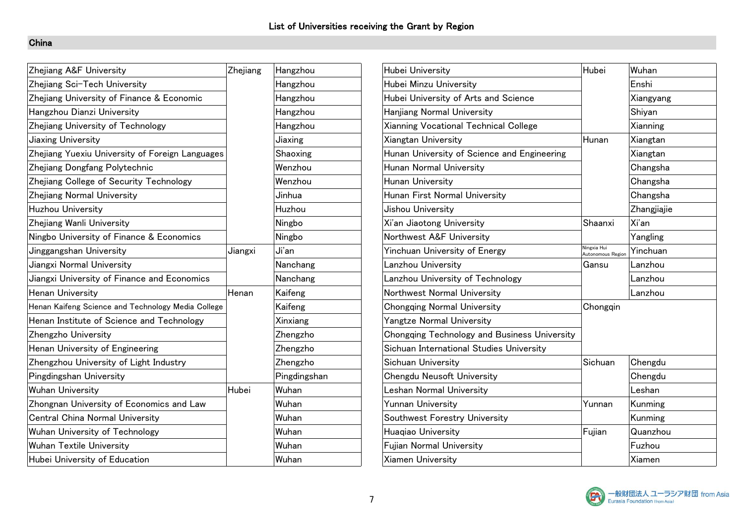| Zhejiang A&F University                            | Zhejiang | Hangzhou     | Hubei University                             | Hubei                            | Wuhan       |
|----------------------------------------------------|----------|--------------|----------------------------------------------|----------------------------------|-------------|
| Zhejiang Sci-Tech University                       |          | Hangzhou     | Hubei Minzu University                       |                                  | Enshi       |
| Zhejiang University of Finance & Economic          |          | Hangzhou     | Hubei University of Arts and Science         |                                  | Xiangyang   |
| Hangzhou Dianzi University                         |          | Hangzhou     | Hanjiang Normal University                   |                                  | Shiyan      |
| Zhejiang University of Technology                  |          | Hangzhou     | Xianning Vocational Technical College        |                                  | Xianning    |
| Jiaxing University                                 |          | Jiaxing      | Xiangtan University                          | Hunan                            | Xiangtan    |
| Zhejiang Yuexiu University of Foreign Languages    |          | Shaoxing     | Hunan University of Science and Engineering  |                                  | Xiangtan    |
| Zhejiang Dongfang Polytechnic                      |          | Wenzhou      | Hunan Normal University                      |                                  | Changsha    |
| Zhejiang College of Security Technology            |          | Wenzhou      | Hunan University                             |                                  | Changsha    |
| Zhejiang Normal University                         |          | Jinhua       | Hunan First Normal University                |                                  | Changsha    |
| Huzhou University                                  |          | Huzhou       | Jishou University                            |                                  | Zhangjiajie |
| Zhejiang Wanli University                          |          | Ningbo       | Xi'an Jiaotong University                    | Shaanxi                          | Xi'an       |
| Ningbo University of Finance & Economics           |          | Ningbo       | Northwest A&F University                     |                                  | Yangling    |
| Jinggangshan University                            | Jiangxi  | Ji'an        | Yinchuan University of Energy                | Ningxia Hui<br>Autonomous Region | Yinchuan    |
| Jiangxi Normal University                          |          | Nanchang     | Lanzhou University                           | Gansu                            | Lanzhou     |
| Jiangxi University of Finance and Economics        |          | Nanchang     | Lanzhou University of Technology             |                                  | Lanzhou     |
| Henan University                                   | Henan    | Kaifeng      | Northwest Normal University                  |                                  | Lanzhou     |
| Henan Kaifeng Science and Technology Media College |          | Kaifeng      | <b>Chongqing Normal University</b>           | Chongqin                         |             |
| Henan Institute of Science and Technology          |          | Xinxiang     | <b>Yangtze Normal University</b>             |                                  |             |
| Zhengzho University                                |          | Zhengzho     | Chongqing Technology and Business University |                                  |             |
| Henan University of Engineering                    |          | Zhengzho     | Sichuan International Studies University     |                                  |             |
| Zhengzhou University of Light Industry             |          | Zhengzho     | Sichuan University                           | Sichuan                          | Chengdu     |
| Pingdingshan University                            |          | Pingdingshan | Chengdu Neusoft University                   |                                  | Chengdu     |
| <b>Wuhan University</b>                            | Hubei    | Wuhan        | <b>Leshan Normal University</b>              |                                  | Leshan      |
| Zhongnan University of Economics and Law           |          | Wuhan        | <b>Yunnan University</b>                     | Yunnan                           | Kunming     |
| Central China Normal University                    |          | Wuhan        | Southwest Forestry University                |                                  | Kunming     |
| Wuhan University of Technology                     |          | Wuhan        | Huagiao University                           | Fujian                           | Quanzhou    |
| <b>Wuhan Textile University</b>                    |          | Wuhan        | Fujian Normal University                     |                                  | Fuzhou      |
| Hubei University of Education                      |          | Wuhan        | Xiamen University                            |                                  | Xiamen      |

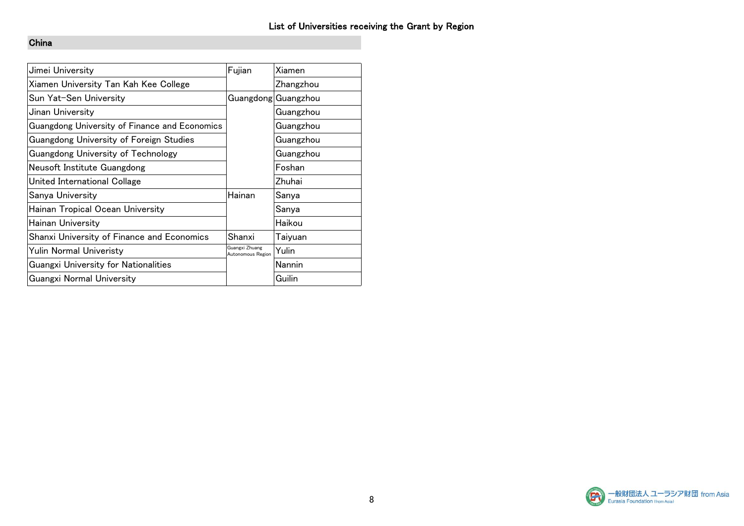| Jimei University                                  | Fujian                              | Xiamen              |
|---------------------------------------------------|-------------------------------------|---------------------|
| Xiamen University Tan Kah Kee College             |                                     | Zhangzhou           |
| Sun Yat-Sen University                            |                                     | Guangdong Guangzhou |
| Jinan University                                  |                                     | Guangzhou           |
| Guangdong University of Finance and Economics     |                                     | Guangzhou           |
| Guangdong University of Foreign Studies           |                                     | Guangzhou           |
| <b>Guangdong University of Technology</b>         |                                     | Guangzhou           |
| Neusoft Institute Guangdong                       |                                     | Foshan              |
| United International Collage                      |                                     | Zhuhai              |
| Sanya University                                  | Hainan                              | Sanya               |
| Hainan Tropical Ocean University                  |                                     | Sanya               |
| Hainan University                                 |                                     | Haikou              |
| <b>Shanxi University of Finance and Economics</b> | Shanxi                              | Taiyuan             |
| Yulin Normal Univeristy                           | Guangxi Zhuang<br>Autonomous Region | Yulin               |
| <b>Guangxi University for Nationalities</b>       |                                     | Nannin              |
| <b>Guangxi Normal University</b>                  |                                     | Guilin              |

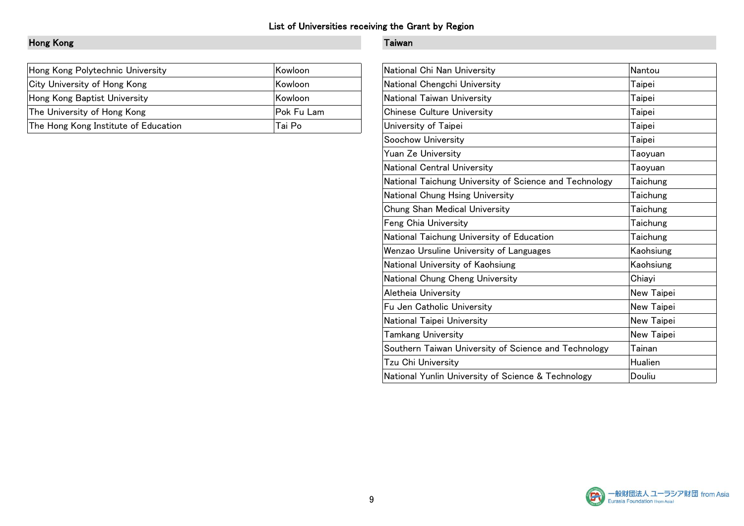# Hong Kong Taiwan

| Hong Kong Polytechnic University     | Kowloon           | National Chi Nan University       | Nantou |
|--------------------------------------|-------------------|-----------------------------------|--------|
| City University of Hong Kong         | <b>Kowloon</b>    | National Chengchi University      | Taipei |
| Hong Kong Baptist University         | Kowloon           | National Taiwan University        | Taipei |
| The University of Hong Kong          | <b>Pok Fu Lam</b> | <b>Chinese Culture University</b> | Taipei |
| The Hong Kong Institute of Education | Tai Po            | University of Taipei              | Taipei |

| Nantou     |
|------------|
| Taipei     |
| Taipei     |
| Taipei     |
| Taipei     |
| Taipei     |
| Taoyuan    |
| Taoyuan    |
| Taichung   |
| Taichung   |
| Taichung   |
| Taichung   |
| Taichung   |
| Kaohsiung  |
| Kaohsiung  |
| Chiayi     |
| New Taipei |
| New Taipei |
| New Taipei |
| New Taipei |
| Tainan     |
| Hualien    |
| Douliu     |
|            |

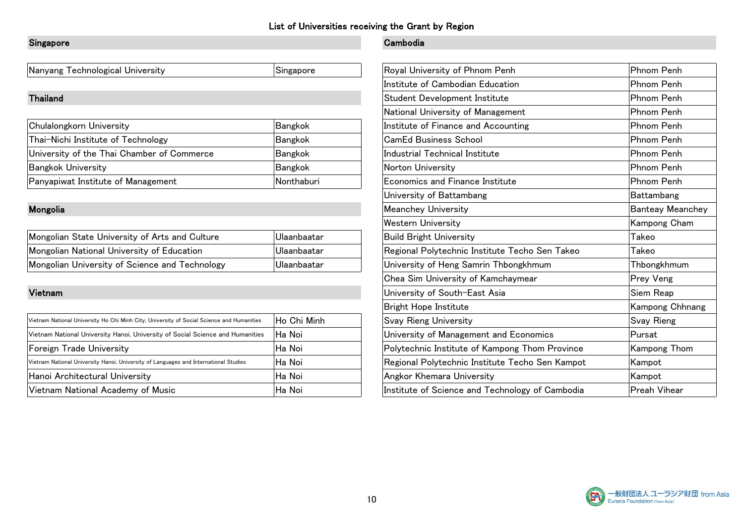### Singapore **Cambodia**

Nanyang Technological University Singapore Singapore

| Chulalongkorn University                   | Bangkok           | Institute of Finance and Accounting | Phnom Penh |
|--------------------------------------------|-------------------|-------------------------------------|------------|
| Thai-Nichi Institute of Technology         | Bangkok           | <b>CamEd Business School</b>        | Phnom Penh |
| University of the Thai Chamber of Commerce | Bangkok           | Industrial Technical Institute      | Phnom Penh |
| <b>Bangkok University</b>                  | Bangkok           | Norton University                   | Phnom Penh |
| Panyapiwat Institute of Management         | <i>Nonthaburi</i> | Economics and Finance Institute     | Phnom Penh |

| Mongolian State University of Arts and Culture | ⊥Ulaanbaatar | Build Bright University                        | I akeo      |
|------------------------------------------------|--------------|------------------------------------------------|-------------|
| Mongolian National University of Education     | ⊥Ulaanbaatar | Regional Polytechnic Institute Techo Sen Takeo | Takeo       |
| Mongolian University of Science and Technology | ⊥Ulaanbaatar | University of Heng Samrin Thbongkhmum          | Thbongkhmum |

| Vietnam National University Ho Chi Minh City, University of Social Science and Humanities | Ho Chi Minh | <b>Svay Rieng University</b>                    | <b>Svay Rieng</b> |
|-------------------------------------------------------------------------------------------|-------------|-------------------------------------------------|-------------------|
| Vietnam National University Hanoi, University of Social Science and Humanities            | Ha Noi      | University of Management and Economics          | Pursat            |
| Foreign Trade University                                                                  | lHa Noi     | Polytechnic Institute of Kampong Thom Province  | Kampong Thom      |
| Vietnam National University Hanoi, University of Languages and International Studies      | lHa Noi     | Regional Polytechnic Institute Techo Sen Kampot | Kampot            |
| Hanoi Architectural University                                                            | lHa Noi     | <b>Angkor Khemara University</b>                | Kampot            |
| Vietnam National Academy of Music                                                         | lHa Noi     | Institute of Science and Technology of Cambodia | Preah Vihear      |

| Nanyang Technological University                                                          | Singapore      | Royal University of Phnom Penh                  | Phnom Penh              |
|-------------------------------------------------------------------------------------------|----------------|-------------------------------------------------|-------------------------|
|                                                                                           |                | Institute of Cambodian Education                | Phnom Penh              |
| Thailand                                                                                  |                | Student Development Institute                   | Phnom Penh              |
|                                                                                           |                | National University of Management               | Phnom Penh              |
| Chulalongkorn University                                                                  | Bangkok        | Institute of Finance and Accounting             | Phnom Penh              |
| Thai-Nichi Institute of Technology                                                        | <b>Bangkok</b> | <b>CamEd Business School</b>                    | Phnom Penh              |
| University of the Thai Chamber of Commerce                                                | <b>Bangkok</b> | Industrial Technical Institute                  | Phnom Penh              |
| <b>Bangkok University</b>                                                                 | <b>Bangkok</b> | Norton University                               | Phnom Penh              |
| Panyapiwat Institute of Management                                                        | Nonthaburi     | Economics and Finance Institute                 | Phnom Penh              |
|                                                                                           |                | University of Battambang                        | Battambang              |
| Mongolia                                                                                  |                | <b>Meanchey University</b>                      | <b>Banteay Meanchey</b> |
|                                                                                           |                | <b>Western University</b>                       | Kampong Cham            |
| Mongolian State University of Arts and Culture                                            | Ulaanbaatar    | <b>Build Bright University</b>                  | Takeo                   |
| Mongolian National University of Education                                                | Ulaanbaatar    | Regional Polytechnic Institute Techo Sen Takeo  | Takeo                   |
| Mongolian University of Science and Technology                                            | Ulaanbaatar    | University of Heng Samrin Thbongkhmum           | Thbongkhmum             |
|                                                                                           |                | Chea Sim University of Kamchaymear              | Prey Veng               |
| Vietnam                                                                                   |                | University of South-East Asia                   | Siem Reap               |
|                                                                                           |                | <b>Bright Hope Institute</b>                    | Kampong Chhnang         |
| Vietnam National University Ho Chi Minh City, University of Social Science and Humanities | Ho Chi Minh    | <b>Svay Rieng University</b>                    | Svay Rieng              |
| Vietnam National University Hanoi, University of Social Science and Humanities            | ∣Ha Noi        | University of Management and Economics          | Pursat                  |
| Foreign Trade University                                                                  | Ha Noi         | Polytechnic Institute of Kampong Thom Province  | Kampong Thom            |
| Vietnam National University Hanoi, University of Languages and International Studies      | Ha Noi         | Regional Polytechnic Institute Techo Sen Kampot | Kampot                  |
| Hanoi Architectural University                                                            | Ha Noi         | Angkor Khemara University                       | Kampot                  |
| Vietnam National Academy of Music                                                         | Ha Noi         | Institute of Science and Technology of Cambodia | Preah Vihear            |

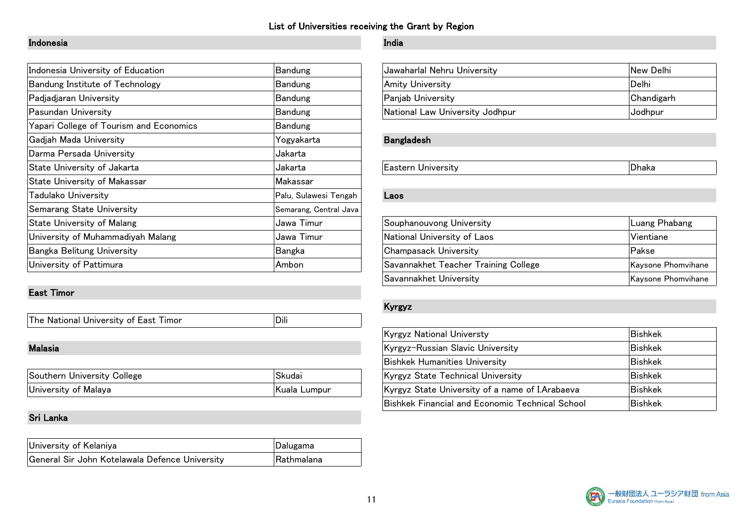### Indonesia India

| Indonesia University of Education       | Bandung                | Jawaharlal Nehru University          | New Delhi          |
|-----------------------------------------|------------------------|--------------------------------------|--------------------|
| Bandung Institute of Technology         | Bandung                | <b>Amity University</b>              | Delhi              |
| Padjadjaran University                  | Bandung                | Panjab University                    | Chandigarh         |
| Pasundan University                     | Bandung                | National Law University Jodhpur      | Jodhpur            |
| Yapari College of Tourism and Economics | Bandung                |                                      |                    |
| Gadjah Mada University                  | Yogyakarta             | <b>Bangladesh</b>                    |                    |
| Darma Persada University                | Jakarta                |                                      |                    |
| State University of Jakarta             | Jakarta                | <b>Eastern University</b>            | Dhaka              |
| <b>State University of Makassar</b>     | Makassar               |                                      |                    |
| Tadulako University                     | Palu, Sulawesi Tengah  | Laos                                 |                    |
| <b>Semarang State University</b>        | Semarang, Central Java |                                      |                    |
| State University of Malang              | Jawa Timur             | Souphanouvong University             | Luang Phabang      |
| University of Muhammadiyah Malang       | Jawa Timur             | National University of Laos          | Vientiane          |
| Bangka Belitung University              | Bangka                 | Champasack University                | Pakse              |
| University of Pattimura                 | Ambon                  | Savannakhet Teacher Training College | Kaysone Phomvihane |

### East Timor

| The National University of East Timor |  |
|---------------------------------------|--|

| . . | $\sim$<br>Jollege<br>Sout<br>University | $\sim$<br>۰.,  | University<br><b>AChnica</b><br>- - -<br>vrov.        | INGr |
|-----|-----------------------------------------|----------------|-------------------------------------------------------|------|
|     | l Inwersit<br>of Malava                 | umpur_<br>lala | Arabaeva<br>K vrov-<br>name<br>1040<br>$+ - +$<br>∽ + | INGN |

### Sri Lanka

| University of Kelaniya                         | Dalugama          |
|------------------------------------------------|-------------------|
| General Sir John Kotelawala Defence University | <b>Rathmalana</b> |

| Jawaharlal Nehru University     | New Delhi  |
|---------------------------------|------------|
| Amity University                | ∣Delhi     |
| Panjab University               | Chandigarh |
| National Law University Jodhpur | Jodhpur    |

### Bangladesh

| Souphanouvong University             | Luang Phabang      |
|--------------------------------------|--------------------|
| National University of Laos          | ™Vientiane         |
| <b>Champasack University</b>         | Pakse              |
| Savannakhet Teacher Training College | Kaysone Phomvihane |
| Savannakhet University               | Kaysone Phomvihane |

### Kyrgyz

|                             |              | <b>Kyrgyz National Universty</b>                       | Bishkek        |
|-----------------------------|--------------|--------------------------------------------------------|----------------|
| Malasia                     |              | Kyrgyz-Russian Slavic University                       | <b>Bishkek</b> |
|                             |              | <b>Bishkek Humanities University</b>                   | <b>Bishkek</b> |
| Southern University College | 'Skudai      | Kyrgyz State Technical University                      | <b>Bishkek</b> |
| University of Malaya        | Kuala Lumpur | Kyrgyz State University of a name of I. Arabaeva       | Bishkek        |
|                             |              | <b>Bishkek Financial and Economic Technical School</b> | ∣Bishkek       |

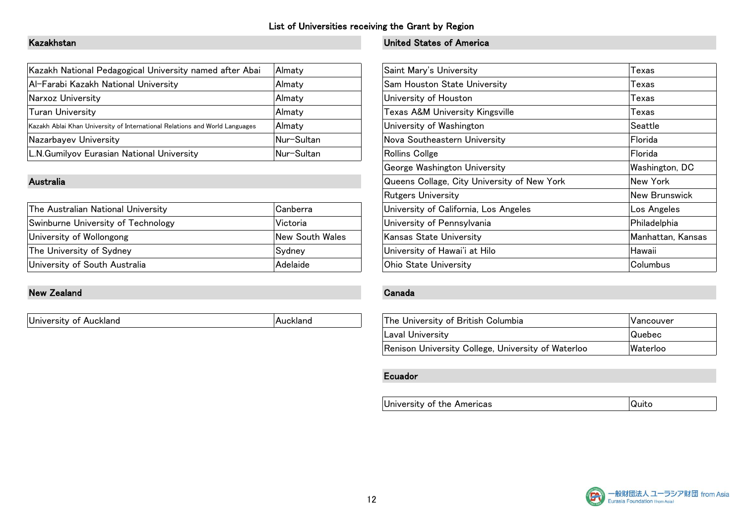| Kazakh National Pedagogical University named after Abai                     | Almaty        | Saint Mary's University         | Texas   |
|-----------------------------------------------------------------------------|---------------|---------------------------------|---------|
| Al-Farabi Kazakh National University                                        | Almaty        | Sam Houston State University    | Texas   |
| Narxoz University                                                           | <b>Almaty</b> | University of Houston           | Texas   |
| Turan University                                                            | <b>Almaty</b> | Texas A&M University Kingsville | Texas   |
| Kazakh Ablai Khan University of International Relations and World Languages | Almaty        | University of Washington        | Seattle |
| Nazarbayev University                                                       | Nur-Sultan    | Nova Southeastern University    | Florida |
| L.N.Gumilyov Eurasian National University                                   | Nur-Sultan    | Rollins Collge                  | Florida |

| The Australian National University | Canberra        | University of California, Los Angeles | Los Angeles       |
|------------------------------------|-----------------|---------------------------------------|-------------------|
| Swinburne University of Technology | Victoria        | University of Pennsylvania            | Philadelphia      |
| University of Wollongong           | New South Wales | Kansas State University               | Manhattan, Kansas |
| The University of Sydney           | Sydney          | University of Hawai'i at Hilo         | Hawaii            |
| University of South Australia      | Adelaide        | <b>Ohio State University</b>          | <b>Columbus</b>   |

### New Zealand Canada Canada Canada Canada Canada Canada Canada Canada Canada Canada Canada Canada Canada Canada

## Kazakhstan United States of America

| Kazakh National Pedagogical University named after Abai                     | Almaty          | Saint Mary's University                     | Texas             |
|-----------------------------------------------------------------------------|-----------------|---------------------------------------------|-------------------|
| Al-Farabi Kazakh National University                                        | Almaty          | Sam Houston State University                | Texas             |
| Narxoz University                                                           | Almatv          | University of Houston                       | Texas             |
| Turan University                                                            | Almaty          | <b>Texas A&amp;M University Kingsville</b>  | Texas             |
| Kazakh Ablai Khan University of International Relations and World Languages | Almaty          | University of Washington                    | Seattle           |
| Nazarbayev University                                                       | Nur-Sultan      | Nova Southeastern University                | Florida           |
| L.N.Gumilyov Eurasian National University                                   | Nur-Sultan      | Rollins Collge                              | Florida           |
|                                                                             |                 | George Washington University                | Washington, DC    |
| Australia                                                                   |                 | Queens Collage, City University of New York | New York          |
|                                                                             |                 | <b>Rutgers University</b>                   | New Brunswick     |
| The Australian National University                                          | Canberra        | University of California, Los Angeles       | Los Angeles       |
| Swinburne University of Technology                                          | Victoria        | University of Pennsylvania                  | Philadelphia      |
| University of Wollongong                                                    | New South Wales | Kansas State University                     | Manhattan, Kansas |
| The University of Sydney                                                    | Sydney          | University of Hawai'i at Hilo               | Hawaii            |
| University of South Australia                                               | Adelaide        | <b>Ohio State University</b>                | Columbus          |

| The University of British Columbia                 | Vancouver |
|----------------------------------------------------|-----------|
| Laval University                                   | Quebec    |
| Renison University College, University of Waterloo | Waterloo  |

### Ecuador

University of the Americas and a quito quito

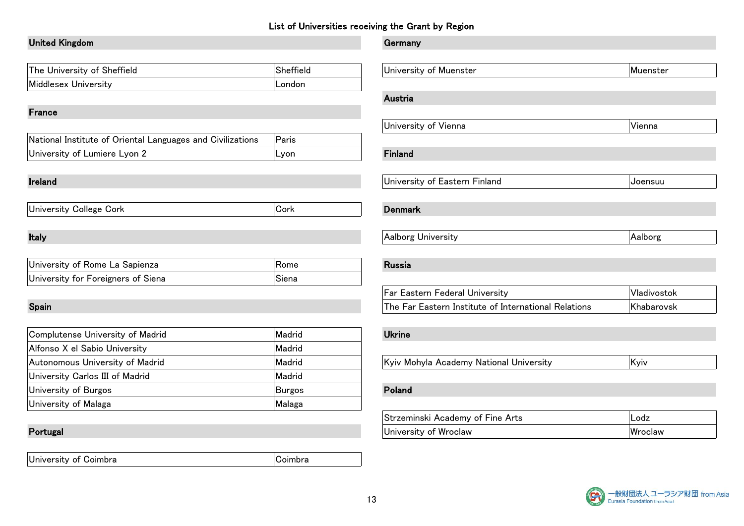# United Kingdom Germany The University of Sheffield Sheffield Middlesex University London France  $\vert$ National Institute of Oriental Languages and Civilizations  $\vert$  Paris University of Lumiere Lyon 2 Lyon Finlands Research Finlands Research Finlands Research Finlands Research Finla Ireland University of Eastern Finland Joensuu University College Cork Cork Denmark Italy Research Communication of the Communication of the Aalborg University Aalborg University Aalborg University University of Rome La Sapienza Rome Rome University for Foreigners of Siena Siena Siena Spain The Far Eastern Institute of International Relations Khabarovsk Complutense University of Madrid Madrid Madrid Madrid Madrid Madrid Madrid Madrid Alfonso X el Sabio University Madrid Autonomous University of Madrid Madrid Madrid Madrid Madrid Madrid Kyiv Mohamm National Madrid University Carlos III of Madrid Madrid Madrid Madrid Madrid Madrid Madrid Madrid Madrid Madrid Madrid Madrid M University of Burgos **Burgos** Polandia Polandia Polandia Polandia Polandia Polandia Polandia Polandia Polandia Po University of Malaga **Malaga** Malaga Malaga Malaga Malaga Malaga Malaga Malaga Malaga Malaga Malaga Malaga Mala

University of Coimbra **Community** Coimbra

| The University of Sheffield                                | Sheffield                | University of Muenster                               | Muenster    |
|------------------------------------------------------------|--------------------------|------------------------------------------------------|-------------|
| Middlesex University                                       | London                   |                                                      |             |
|                                                            |                          | Austria                                              |             |
| France                                                     |                          |                                                      |             |
|                                                            |                          | University of Vienna                                 | Vienna      |
| National Institute of Oriental Languages and Civilizations | Paris                    |                                                      |             |
| University of Lumiere Lyon 2                               | Lyon                     | Finland                                              |             |
|                                                            |                          |                                                      |             |
| Ireland                                                    |                          | University of Eastern Finland                        | Joensuu     |
|                                                            |                          |                                                      |             |
| University College Cork                                    | Cork                     | <b>Denmark</b>                                       |             |
|                                                            |                          |                                                      |             |
| Italy                                                      |                          | Aalborg University                                   | Aalborg     |
|                                                            |                          |                                                      |             |
| University of Rome La Sapienza                             | Rome                     | <b>Russia</b>                                        |             |
| University for Foreigners of Siena                         | Siena                    |                                                      |             |
|                                                            |                          | Far Eastern Federal University                       | Vladivostok |
| Spain                                                      |                          | The Far Eastern Institute of International Relations | Khabarovsk  |
|                                                            |                          |                                                      |             |
| Complutense University of Madrid                           | Madrid                   | <b>Ukrine</b>                                        |             |
| Alfonso X el Sabio University                              | Madrid                   |                                                      |             |
| Autonomous University of Madrid                            | Madrid                   | Kyiv Mohyla Academy National University              | Kyiv        |
| University Carlos III of Madrid                            | Madrid                   |                                                      |             |
| University of Burgos                                       | <b>Burgos</b>            | Poland                                               |             |
| University of Malaga                                       | Malaga                   |                                                      |             |
|                                                            |                          | Strzeminski Academy of Fine Arts                     | Lodz        |
| Portugal                                                   |                          | University of Wroclaw                                | Wroclaw     |
|                                                            |                          |                                                      |             |
| In the transition of $\bigcap$ of the line                 | $\bigcap_{n=1}^{\infty}$ |                                                      |             |